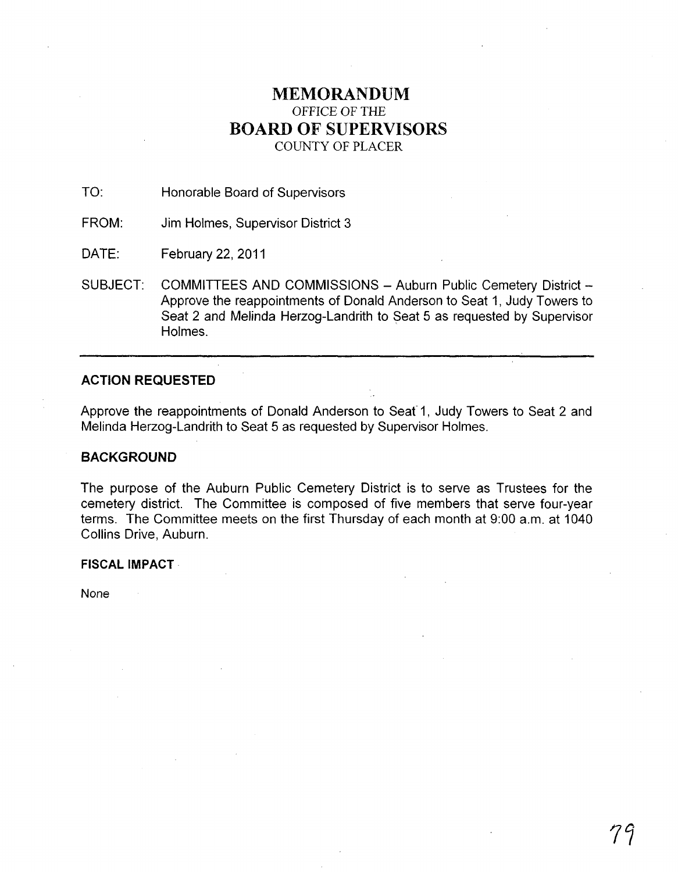# **MEMORANDUM**  OFFICE OF THE **BOARD OF SUPERVISORS**  COUNTY OF PLACER

TO: Honorable Board of Supervisors

FROM: Jim Holmes, Supervisor District 3

DATE: February 22, 2011

SUBJECT: COMMITTEES AND COMMISSIONS - Auburn Public Cemetery District -Approve the reappointments of Donald Anderson to Seat 1, Judy Towers to Seat 2 and Melinda Herzog-Landrith to Seat 5 as requested by Supervisor Holmes.

# **ACTION REQUESTED**

Approve the reappointments of Donald Anderson to Seaf 1, Judy Towers to Seat 2 and Melinda Herzog-Landrith to Seat 5 as requested by Supervisor Holmes.

# **BACKGROUND**

The purpose of the Auburn Public Cemetery District is to serve as Trustees for the cemetery district. The Committee is composed of five members that serve four-year terms. The Committee meets on the first Thursday of each month at 9:00 a.m. at 1040 Collins Drive, Auburn.

**FISCAL IMPACT** 

None